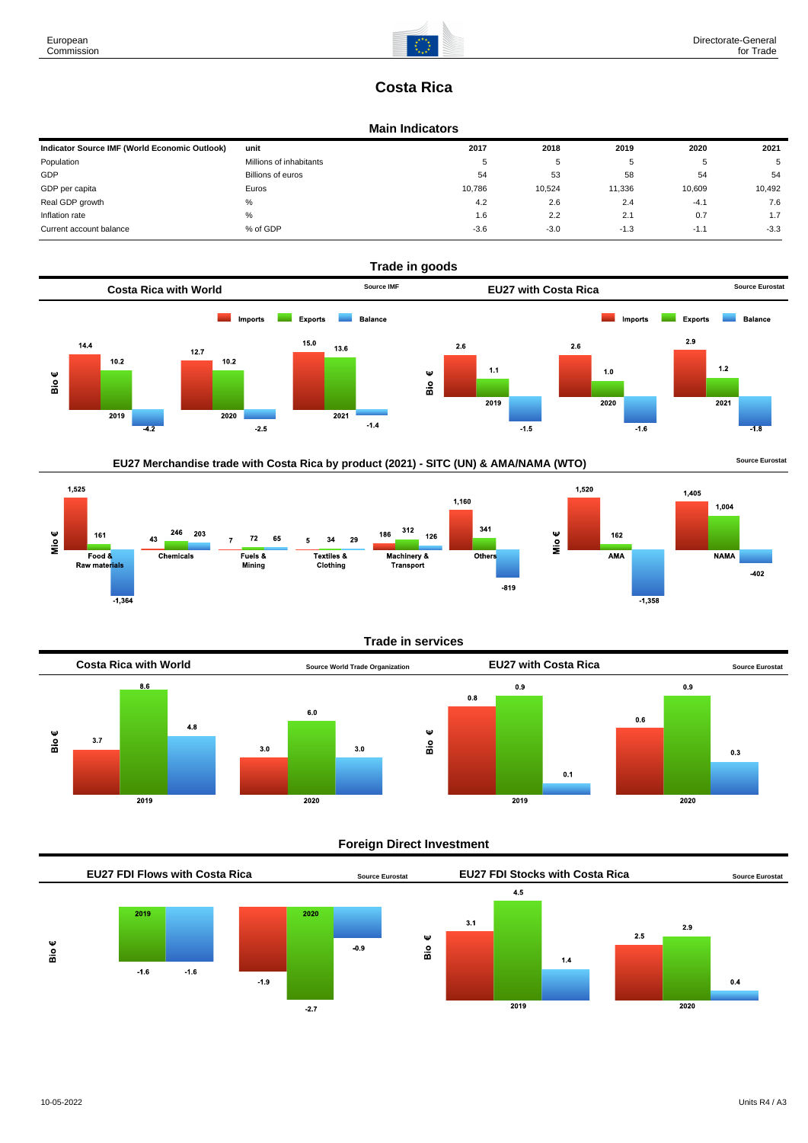

## **Costa Rica**

#### **Main Indicators**

| Indicator Source IMF (World Economic Outlook) | unit                    | 2017   | 2018   | 2019   | 2020   | 2021   |
|-----------------------------------------------|-------------------------|--------|--------|--------|--------|--------|
| Population                                    | Millions of inhabitants | 5      | ັ      |        |        | 5      |
| GDP                                           | Billions of euros       | 54     | 53     | 58     | 54     | 54     |
| GDP per capita                                | Euros                   | 10.786 | 10,524 | 11,336 | 10.609 | 10,492 |
| Real GDP growth                               | %                       | 4.2    | 2.6    | 2.4    | $-4.1$ | 7.6    |
| Inflation rate                                | $\%$                    | 1.6    | 2.2    | 2.1    | 0.7    | 1.7    |
| Current account balance                       | % of GDP                | $-3.6$ | $-3.0$ | $-1.3$ | $-1.1$ | $-3.3$ |



### EU27 Merchandise trade with Costa Rica by product (2021) - SITC (UN) & AMA/NAMA (WTO) **Source Eurostat**









#### **Foreign Direct Investment**